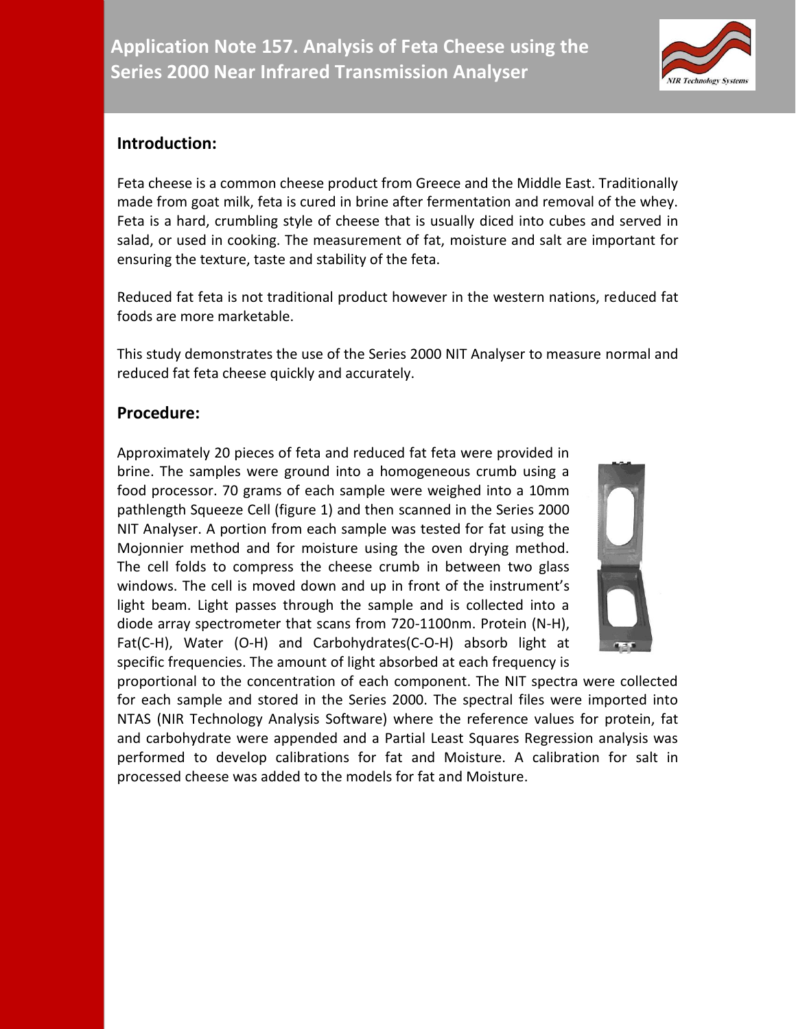## **Introduction:**

Feta cheese is a common cheese product from Greece and the Middle East. Traditionally made from goat milk, feta is cured in brine after fermentation and removal of the whey. Feta is a hard, crumbling style of cheese that is usually diced into cubes and served in salad, or used in cooking. The measurement of fat, moisture and salt are important for ensuring the texture, taste and stability of the feta.

Reduced fat feta is not traditional product however in the western nations, reduced fat foods are more marketable.

This study demonstrates the use of the Series 2000 NIT Analyser to measure normal and reduced fat feta cheese quickly and accurately.

## **Procedure:**

Approximately 20 pieces of feta and reduced fat feta were provided in brine. The samples were ground into a homogeneous crumb using a food processor. 70 grams of each sample were weighed into a 10mm pathlength Squeeze Cell (figure 1) and then scanned in the Series 2000 NIT Analyser. A portion from each sample was tested for fat using the Mojonnier method and for moisture using the oven drying method. The cell folds to compress the cheese crumb in between two glass windows. The cell is moved down and up in front of the instrument's light beam. Light passes through the sample and is collected into a diode array spectrometer that scans from 720-1100nm. Protein (N-H), Fat(C-H), Water (O-H) and Carbohydrates(C-O-H) absorb light at specific frequencies. The amount of light absorbed at each frequency is



proportional to the concentration of each component. The NIT spectra were collected for each sample and stored in the Series 2000. The spectral files were imported into NTAS (NIR Technology Analysis Software) where the reference values for protein, fat and carbohydrate were appended and a Partial Least Squares Regression analysis was performed to develop calibrations for fat and Moisture. A calibration for salt in processed cheese was added to the models for fat and Moisture.

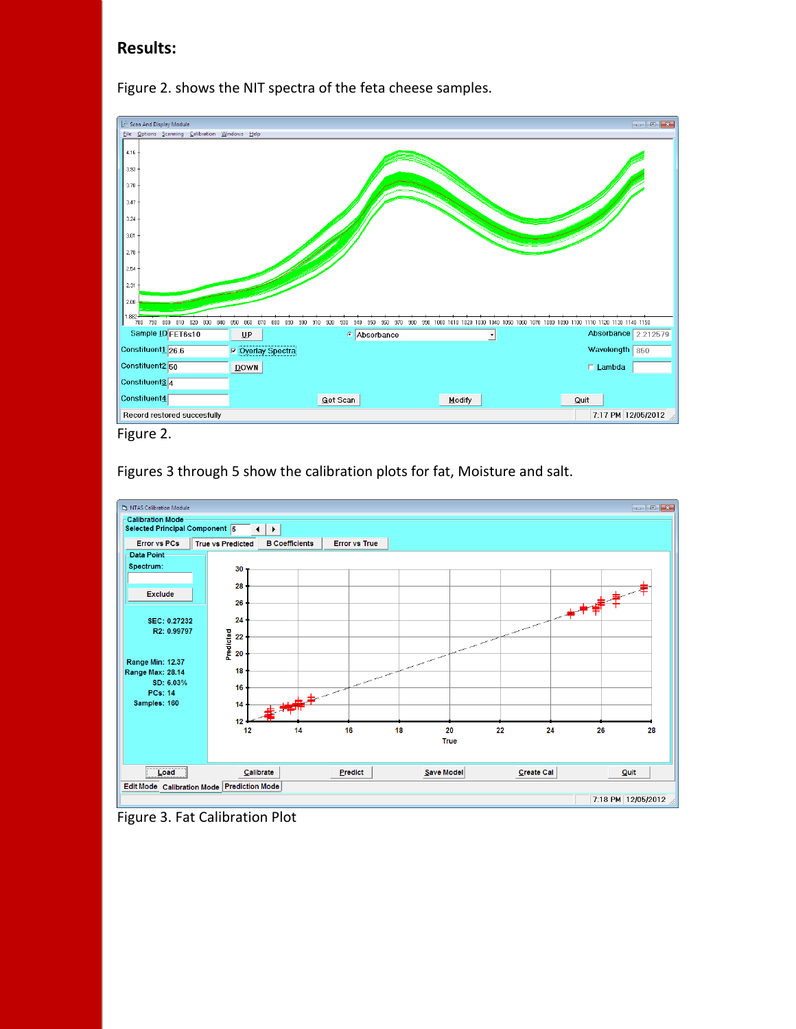## **Results:**



Figure 2. shows the NIT spectra of the feta cheese samples.

Figures 3 through 5 show the calibration plots for fat, Moisture and salt.



Figure 3. Fat Calibration Plot